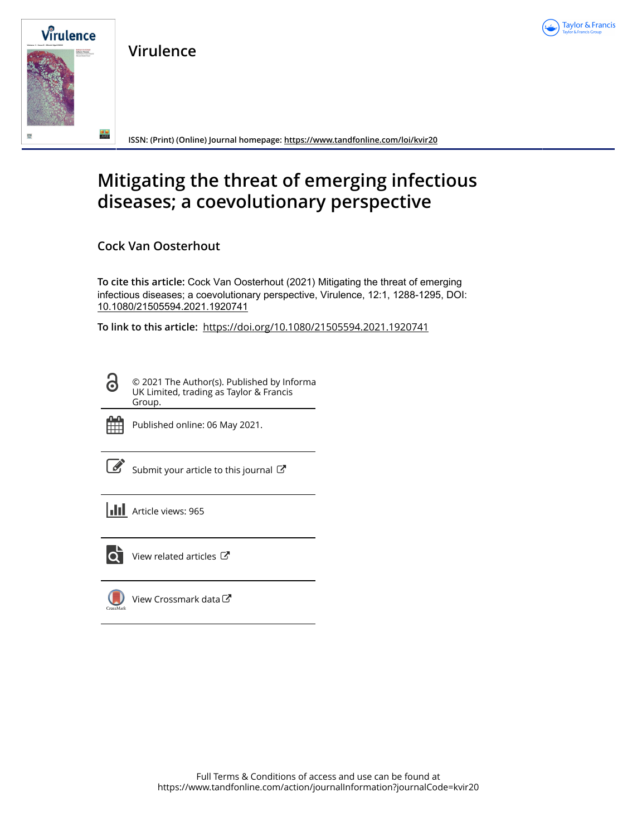

**Virulence**



**ISSN: (Print) (Online) Journal homepage:<https://www.tandfonline.com/loi/kvir20>**

# **Mitigating the threat of emerging infectious diseases; a coevolutionary perspective**

**Cock Van Oosterhout**

**To cite this article:** Cock Van Oosterhout (2021) Mitigating the threat of emerging infectious diseases; a coevolutionary perspective, Virulence, 12:1, 1288-1295, DOI: [10.1080/21505594.2021.1920741](https://www.tandfonline.com/action/showCitFormats?doi=10.1080/21505594.2021.1920741)

**To link to this article:** <https://doi.org/10.1080/21505594.2021.1920741>

© 2021 The Author(s). Published by Informa UK Limited, trading as Taylor & Francis Group.



ര

Published online: 06 May 2021.

[Submit your article to this journal](https://www.tandfonline.com/action/authorSubmission?journalCode=kvir20&show=instructions)  $\mathbb{Z}$ 

**III** Article views: 965



 $\overline{Q}$  [View related articles](https://www.tandfonline.com/doi/mlt/10.1080/21505594.2021.1920741)  $\overline{C}$ 

[View Crossmark data](http://crossmark.crossref.org/dialog/?doi=10.1080/21505594.2021.1920741&domain=pdf&date_stamp=2021-05-06) $\mathbb{Z}$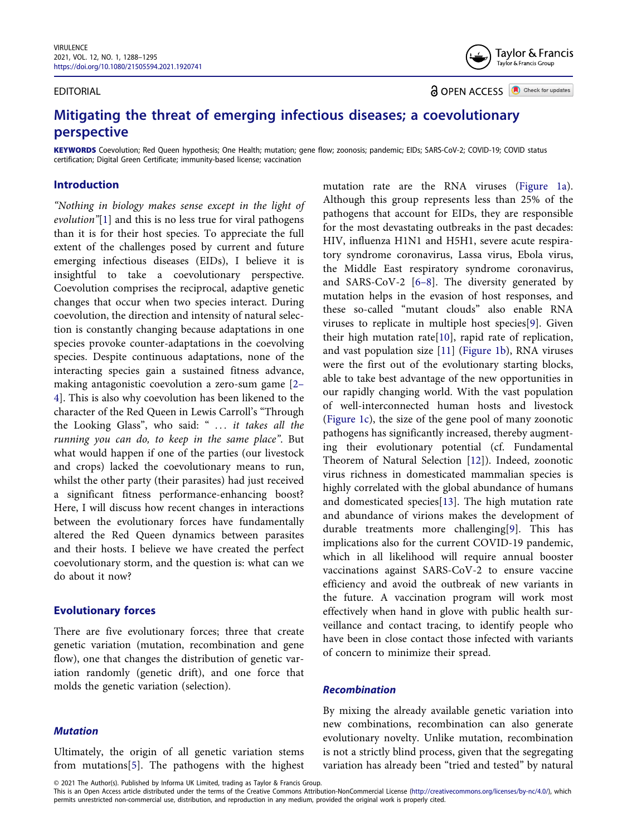#### EDITORIAL

Taylor & Francis Taylor & Francis Group

**a** OPEN ACCESS **a** Check for updates

# **Mitigating the threat of emerging infectious diseases; a coevolutionary perspective**

**KEYWORDS** Coevolution; Red Queen hypothesis; One Health; mutation; gene flow; zoonosis; pandemic; EIDs; SARS-CoV-2; COVID-19; COVID status certification; Digital Green Certificate; immunity-based license; vaccination

# **Introduction**

<span id="page-1-1"></span><span id="page-1-0"></span>*"Nothing in biology makes sense except in the light of evolution"*[\[1](#page-7-0)] and this is no less true for viral pathogens than it is for their host species. To appreciate the full extent of the challenges posed by current and future emerging infectious diseases (EIDs), I believe it is insightful to take a coevolutionary perspective. Coevolution comprises the reciprocal, adaptive genetic changes that occur when two species interact. During coevolution, the direction and intensity of natural selection is constantly changing because adaptations in one species provoke counter-adaptations in the coevolving species. Despite continuous adaptations, none of the interacting species gain a sustained fitness advance, making antagonistic coevolution a zero-sum game [[2–](#page-7-1) [4](#page-7-1)]. This is also why coevolution has been likened to the character of the Red Queen in Lewis Carroll's "Through the Looking Glass", who said: " *. . . it takes all the running you can do, to keep in the same place"*. But what would happen if one of the parties (our livestock and crops) lacked the coevolutionary means to run, whilst the other party (their parasites) had just received a significant fitness performance-enhancing boost? Here, I will discuss how recent changes in interactions between the evolutionary forces have fundamentally altered the Red Queen dynamics between parasites and their hosts. I believe we have created the perfect coevolutionary storm, and the question is: what can we do about it now?

# **Evolutionary forces**

There are five evolutionary forces; three that create genetic variation (mutation, recombination and gene flow), one that changes the distribution of genetic variation randomly (genetic drift), and one force that molds the genetic variation (selection).

# *Mutation*

<span id="page-1-2"></span>Ultimately, the origin of all genetic variation stems from mutations[[5\]](#page-7-2). The pathogens with the highest

<span id="page-1-6"></span><span id="page-1-5"></span><span id="page-1-3"></span>mutation rate are the RNA viruses ([Figure 1a\)](#page-2-0). Although this group represents less than 25% of the pathogens that account for EIDs, they are responsible for the most devastating outbreaks in the past decades: HIV, influenza H1N1 and H5H1, severe acute respiratory syndrome coronavirus, Lassa virus, Ebola virus, the Middle East respiratory syndrome coronavirus, and SARS-CoV-2 [\[6–8\]](#page-7-3). The diversity generated by mutation helps in the evasion of host responses, and these so-called "mutant clouds" also enable RNA viruses to replicate in multiple host species[\[9](#page-7-4)]. Given their high mutation rate[[10\]](#page-7-5), rapid rate of replication, and vast population size [[11\]](#page-7-6) [\(Figure 1b](#page-2-0)), RNA viruses were the first out of the evolutionary starting blocks, able to take best advantage of the new opportunities in our rapidly changing world. With the vast population of well-interconnected human hosts and livestock ([Figure 1c\)](#page-2-0), the size of the gene pool of many zoonotic pathogens has significantly increased, thereby augmenting their evolutionary potential (cf. Fundamental Theorem of Natural Selection [[12\]](#page-7-7)). Indeed, zoonotic virus richness in domesticated mammalian species is highly correlated with the global abundance of humans and domesticated species[\[13](#page-7-8)]. The high mutation rate and abundance of virions makes the development of durable treatments more challenging[[9\]](#page-7-4). This has implications also for the current COVID-19 pandemic, which in all likelihood will require annual booster vaccinations against SARS-CoV-2 to ensure vaccine efficiency and avoid the outbreak of new variants in the future. A vaccination program will work most effectively when hand in glove with public health surveillance and contact tracing, to identify people who have been in close contact those infected with variants of concern to minimize their spread.

# <span id="page-1-8"></span><span id="page-1-7"></span><span id="page-1-4"></span>*Recombination*

By mixing the already available genetic variation into new combinations, recombination can also generate evolutionary novelty. Unlike mutation, recombination is not a strictly blind process, given that the segregating variation has already been "tried and tested" by natural

This is an Open Access article distributed under the terms of the Creative Commons Attribution-NonCommercial License (http://creativecommons.org/licenses/by-nc/4.0/), which permits unrestricted non-commercial use, distribution, and reproduction in any medium, provided the original work is properly cited.

<sup>© 2021</sup> The Author(s). Published by Informa UK Limited, trading as Taylor & Francis Group.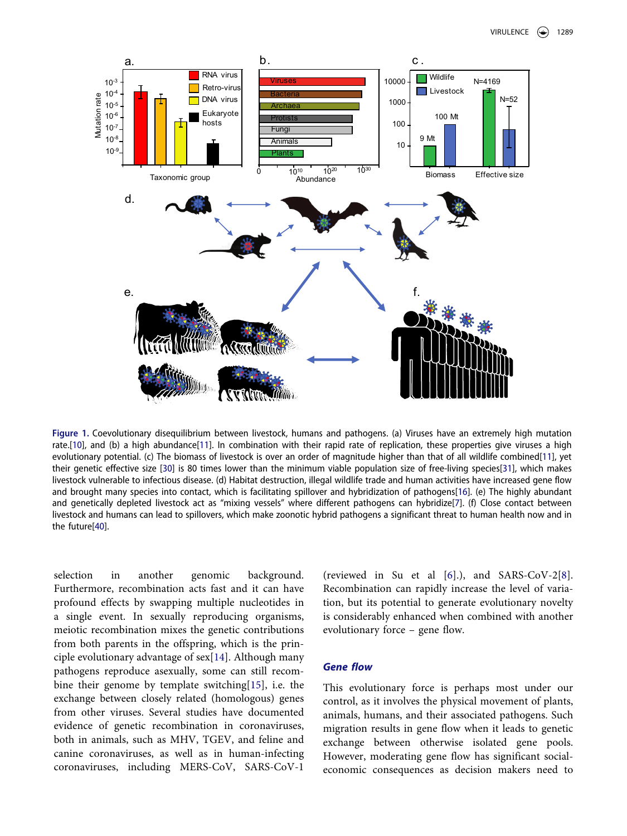

<span id="page-2-6"></span><span id="page-2-5"></span><span id="page-2-1"></span><span id="page-2-0"></span>**Figure 1.** Coevolutionary disequilibrium between livestock, humans and pathogens. (a) Viruses have an extremely high mutation rate.[[10\]](#page-7-5), and (b) a high abundance[\[11](#page-7-6)]. In combination with their rapid rate of replication, these properties give viruses a high evolutionary potential. (c) The biomass of livestock is over an order of magnitude higher than that of all wildlife combined[[11\]](#page-7-6), yet their genetic effective size [\[30](#page-8-0)] is 80 times lower than the minimum viable population size of free-living species[\[31](#page-8-1)], which makes livestock vulnerable to infectious disease. (d) Habitat destruction, illegal wildlife trade and human activities have increased gene flow and brought many species into contact, which is facilitating spillover and hybridization of pathogens[[16\]](#page-7-12). (e) The highly abundant and genetically depleted livestock act as "mixing vessels" where different pathogens can hybridize[[7](#page-7-13)]. (f) Close contact between livestock and humans can lead to spillovers, which make zoonotic hybrid pathogens a significant threat to human health now and in the future[[40\]](#page-8-2).

<span id="page-2-7"></span><span id="page-2-4"></span><span id="page-2-3"></span>selection in another genomic background. Furthermore, recombination acts fast and it can have profound effects by swapping multiple nucleotides in a single event. In sexually reproducing organisms, meiotic recombination mixes the genetic contributions from both parents in the offspring, which is the principle evolutionary advantage of sex[[14\]](#page-7-9). Although many pathogens reproduce asexually, some can still recombine their genome by template switching[\[15](#page-7-10)], i.e. the exchange between closely related (homologous) genes from other viruses. Several studies have documented evidence of genetic recombination in coronaviruses, both in animals, such as MHV, TGEV, and feline and canine coronaviruses, as well as in human-infecting coronaviruses, including MERS-CoV, SARS-CoV-1

<span id="page-2-2"></span>(reviewed in Su et al [[6\]](#page-7-3).), and SARS-CoV-2[[8\]](#page-7-11). Recombination can rapidly increase the level of variation, but its potential to generate evolutionary novelty is considerably enhanced when combined with another evolutionary force – gene flow.

# *Gene flow*

This evolutionary force is perhaps most under our control, as it involves the physical movement of plants, animals, humans, and their associated pathogens. Such migration results in gene flow when it leads to genetic exchange between otherwise isolated gene pools. However, moderating gene flow has significant socialeconomic consequences as decision makers need to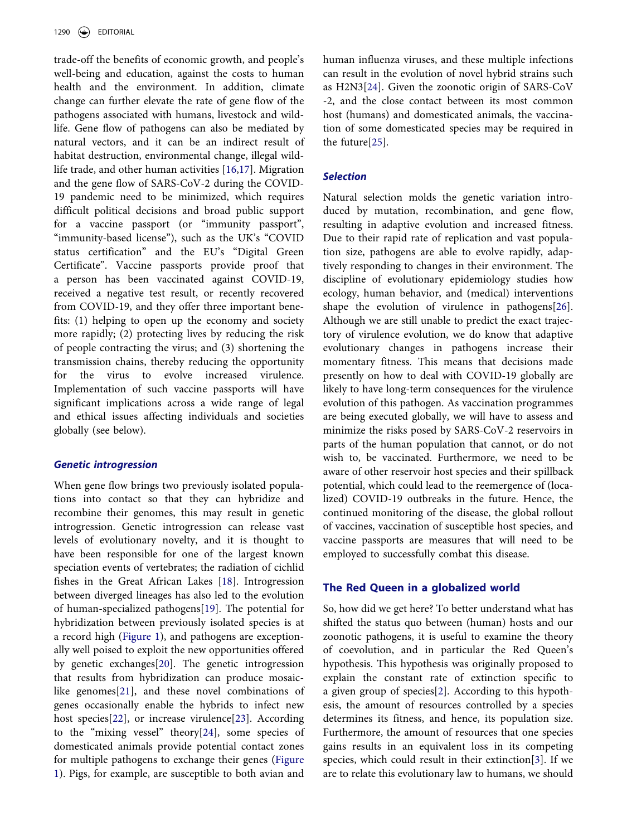<span id="page-3-1"></span>trade-off the benefits of economic growth, and people's well-being and education, against the costs to human health and the environment. In addition, climate change can further elevate the rate of gene flow of the pathogens associated with humans, livestock and wildlife. Gene flow of pathogens can also be mediated by natural vectors, and it can be an indirect result of habitat destruction, environmental change, illegal wildlife trade, and other human activities [[16](#page-7-12)[,17\]](#page-7-14). Migration and the gene flow of SARS-CoV-2 during the COVID-19 pandemic need to be minimized, which requires difficult political decisions and broad public support for a vaccine passport (or "immunity passport", "immunity-based license"), such as the UK's "COVID status certification" and the EU's "Digital Green Certificate". Vaccine passports provide proof that a person has been vaccinated against COVID-19, received a negative test result, or recently recovered from COVID-19, and they offer three important benefits: (1) helping to open up the economy and society more rapidly; (2) protecting lives by reducing the risk of people contracting the virus; and (3) shortening the transmission chains, thereby reducing the opportunity for the virus to evolve increased virulence. Implementation of such vaccine passports will have significant implications across a wide range of legal and ethical issues affecting individuals and societies globally (see below).

#### *Genetic introgression*

<span id="page-3-6"></span><span id="page-3-5"></span><span id="page-3-4"></span><span id="page-3-3"></span><span id="page-3-2"></span>When gene flow brings two previously isolated populations into contact so that they can hybridize and recombine their genomes, this may result in genetic introgression. Genetic introgression can release vast levels of evolutionary novelty, and it is thought to have been responsible for one of the largest known speciation events of vertebrates; the radiation of cichlid fishes in the Great African Lakes [\[18](#page-7-15)]. Introgression between diverged lineages has also led to the evolution of human-specialized pathogens[[19\]](#page-7-16). The potential for hybridization between previously isolated species is at a record high ([Figure 1\)](#page-2-0), and pathogens are exceptionally well poised to exploit the new opportunities offered by genetic exchanges[\[20\]](#page-7-17). The genetic introgression that results from hybridization can produce mosaiclike genomes[\[21\]](#page-7-18), and these novel combinations of genes occasionally enable the hybrids to infect new host species[[22\]](#page-7-19), or increase virulence[[23\]](#page-7-20). According to the "mixing vessel" theory[\[24](#page-7-21)], some species of domesticated animals provide potential contact zones for multiple pathogens to exchange their genes ([Figure](#page-2-0) [1](#page-2-0)). Pigs, for example, are susceptible to both avian and <span id="page-3-7"></span>human influenza viruses, and these multiple infections can result in the evolution of novel hybrid strains such as H2N3[[24\]](#page-7-21). Given the zoonotic origin of SARS-CoV -2, and the close contact between its most common host (humans) and domesticated animals, the vaccination of some domesticated species may be required in the future[\[25](#page-7-22)].

# <span id="page-3-8"></span>*Selection*

<span id="page-3-9"></span>Natural selection molds the genetic variation introduced by mutation, recombination, and gene flow, resulting in adaptive evolution and increased fitness. Due to their rapid rate of replication and vast population size, pathogens are able to evolve rapidly, adaptively responding to changes in their environment. The discipline of evolutionary epidemiology studies how ecology, human behavior, and (medical) interventions shape the evolution of virulence in pathogens[[26\]](#page-8-3). Although we are still unable to predict the exact trajectory of virulence evolution, we do know that adaptive evolutionary changes in pathogens increase their momentary fitness. This means that decisions made presently on how to deal with COVID-19 globally are likely to have long-term consequences for the virulence evolution of this pathogen. As vaccination programmes are being executed globally, we will have to assess and minimize the risks posed by SARS-CoV-2 reservoirs in parts of the human population that cannot, or do not wish to, be vaccinated. Furthermore, we need to be aware of other reservoir host species and their spillback potential, which could lead to the reemergence of (localized) COVID-19 outbreaks in the future. Hence, the continued monitoring of the disease, the global rollout of vaccines, vaccination of susceptible host species, and vaccine passports are measures that will need to be employed to successfully combat this disease.

#### **The Red Queen in a globalized world**

<span id="page-3-0"></span>So, how did we get here? To better understand what has shifted the status quo between (human) hosts and our zoonotic pathogens, it is useful to examine the theory of coevolution, and in particular the Red Queen's hypothesis. This hypothesis was originally proposed to explain the constant rate of extinction specific to a given group of species[[2\]](#page-7-1). According to this hypothesis, the amount of resources controlled by a species determines its fitness, and hence, its population size. Furthermore, the amount of resources that one species gains results in an equivalent loss in its competing species, which could result in their extinction[[3\]](#page-7-23). If we are to relate this evolutionary law to humans, we should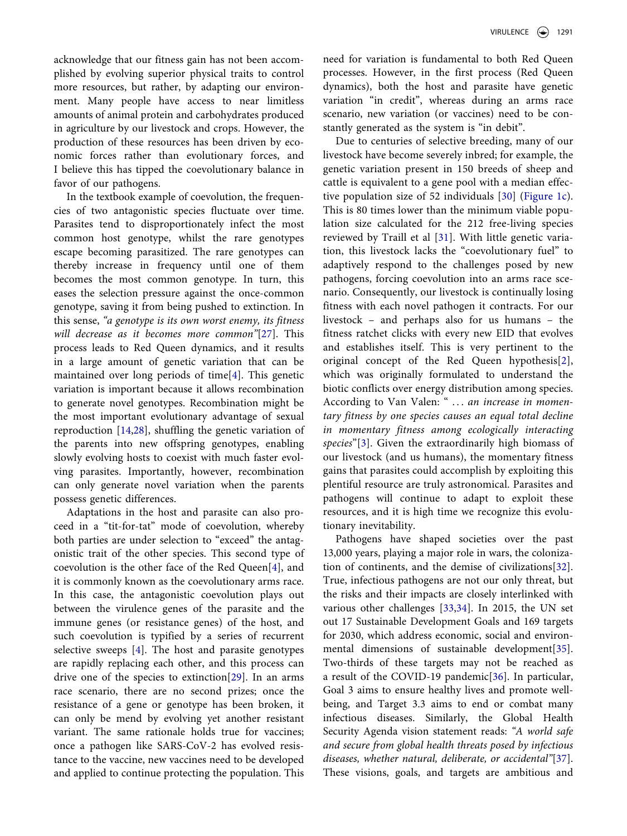acknowledge that our fitness gain has not been accomplished by evolving superior physical traits to control more resources, but rather, by adapting our environment. Many people have access to near limitless amounts of animal protein and carbohydrates produced in agriculture by our livestock and crops. However, the production of these resources has been driven by economic forces rather than evolutionary forces, and I believe this has tipped the coevolutionary balance in favor of our pathogens.

<span id="page-4-1"></span>In the textbook example of coevolution, the frequencies of two antagonistic species fluctuate over time. Parasites tend to disproportionately infect the most common host genotype, whilst the rare genotypes escape becoming parasitized. The rare genotypes can thereby increase in frequency until one of them becomes the most common genotype. In turn, this eases the selection pressure against the once-common genotype, saving it from being pushed to extinction. In this sense, *"a genotype is its own worst enemy, its fitness will decrease as it becomes more common"*[[27\]](#page-8-4). This process leads to Red Queen dynamics, and it results in a large amount of genetic variation that can be maintained over long periods of time[[4\]](#page-7-24). This genetic variation is important because it allows recombination to generate novel genotypes. Recombination might be the most important evolutionary advantage of sexual reproduction [\[14](#page-7-9),[28\]](#page-8-5), shuffling the genetic variation of the parents into new offspring genotypes, enabling slowly evolving hosts to coexist with much faster evolving parasites. Importantly, however, recombination can only generate novel variation when the parents possess genetic differences.

<span id="page-4-3"></span><span id="page-4-2"></span><span id="page-4-0"></span>Adaptations in the host and parasite can also proceed in a "tit-for-tat" mode of coevolution, whereby both parties are under selection to "exceed" the antagonistic trait of the other species. This second type of coevolution is the other face of the Red Queen[[4\]](#page-7-24), and it is commonly known as the coevolutionary arms race. In this case, the antagonistic coevolution plays out between the virulence genes of the parasite and the immune genes (or resistance genes) of the host, and such coevolution is typified by a series of recurrent selective sweeps [\[4](#page-7-24)]. The host and parasite genotypes are rapidly replacing each other, and this process can drive one of the species to extinction[[29\]](#page-8-6). In an arms race scenario, there are no second prizes; once the resistance of a gene or genotype has been broken, it can only be mend by evolving yet another resistant variant. The same rationale holds true for vaccines; once a pathogen like SARS-CoV-2 has evolved resistance to the vaccine, new vaccines need to be developed and applied to continue protecting the population. This need for variation is fundamental to both Red Queen processes. However, in the first process (Red Queen dynamics), both the host and parasite have genetic variation "in credit", whereas during an arms race scenario, new variation (or vaccines) need to be constantly generated as the system is "in debit".

Due to centuries of selective breeding, many of our livestock have become severely inbred; for example, the genetic variation present in 150 breeds of sheep and cattle is equivalent to a gene pool with a median effective population size of 52 individuals [\[30](#page-8-0)] [\(Figure 1c\)](#page-2-0). This is 80 times lower than the minimum viable population size calculated for the 212 free-living species reviewed by Traill et al [\[31](#page-8-1)]. With little genetic variation, this livestock lacks the "coevolutionary fuel" to adaptively respond to the challenges posed by new pathogens, forcing coevolution into an arms race scenario. Consequently, our livestock is continually losing fitness with each novel pathogen it contracts. For our livestock – and perhaps also for us humans – the fitness ratchet clicks with every new EID that evolves and establishes itself. This is very pertinent to the original concept of the Red Queen hypothesis[[2\]](#page-7-1), which was originally formulated to understand the biotic conflicts over energy distribution among species. According to Van Valen: " . . . *an increase in momentary fitness by one species causes an equal total decline in momentary fitness among ecologically interacting species*"[[3\]](#page-7-23). Given the extraordinarily high biomass of our livestock (and us humans), the momentary fitness gains that parasites could accomplish by exploiting this plentiful resource are truly astronomical. Parasites and pathogens will continue to adapt to exploit these resources, and it is high time we recognize this evolutionary inevitability.

<span id="page-4-8"></span><span id="page-4-7"></span><span id="page-4-6"></span><span id="page-4-5"></span><span id="page-4-4"></span>Pathogens have shaped societies over the past 13,000 years, playing a major role in wars, the colonization of continents, and the demise of civilizations[[32\]](#page-8-7). True, infectious pathogens are not our only threat, but the risks and their impacts are closely interlinked with various other challenges [[33](#page-8-8)[,34](#page-8-9)]. In 2015, the UN set out 17 Sustainable Development Goals and 169 targets for 2030, which address economic, social and environmental dimensions of sustainable development[[35\]](#page-8-10). Two-thirds of these targets may not be reached as a result of the COVID-19 pandemic[[36\]](#page-8-11). In particular, Goal 3 aims to ensure healthy lives and promote wellbeing, and Target 3.3 aims to end or combat many infectious diseases. Similarly, the Global Health Security Agenda vision statement reads: *"A world safe and secure from global health threats posed by infectious diseases, whether natural, deliberate, or accidental"*[[37\]](#page-8-12). These visions, goals, and targets are ambitious and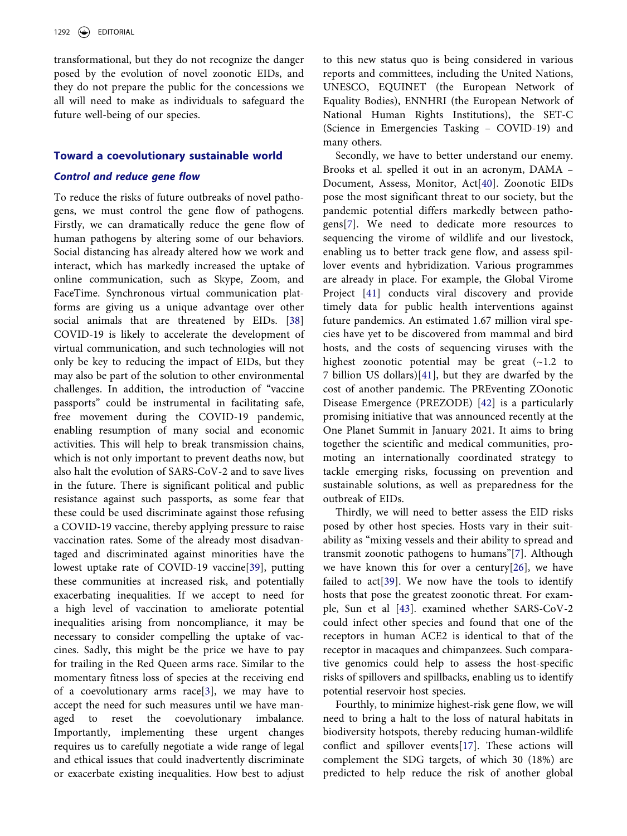transformational, but they do not recognize the danger posed by the evolution of novel zoonotic EIDs, and they do not prepare the public for the concessions we all will need to make as individuals to safeguard the future well-being of our species.

# **Toward a coevolutionary sustainable world**

#### *Control and reduce gene flow*

<span id="page-5-0"></span>To reduce the risks of future outbreaks of novel pathogens, we must control the gene flow of pathogens. Firstly, we can dramatically reduce the gene flow of human pathogens by altering some of our behaviors. Social distancing has already altered how we work and interact, which has markedly increased the uptake of online communication, such as Skype, Zoom, and FaceTime. Synchronous virtual communication platforms are giving us a unique advantage over other social animals that are threatened by EIDs. [\[38](#page-8-13)] COVID-19 is likely to accelerate the development of virtual communication, and such technologies will not only be key to reducing the impact of EIDs, but they may also be part of the solution to other environmental challenges. In addition, the introduction of "vaccine passports" could be instrumental in facilitating safe, free movement during the COVID-19 pandemic, enabling resumption of many social and economic activities. This will help to break transmission chains, which is not only important to prevent deaths now, but also halt the evolution of SARS-CoV-2 and to save lives in the future. There is significant political and public resistance against such passports, as some fear that these could be used discriminate against those refusing a COVID-19 vaccine, thereby applying pressure to raise vaccination rates. Some of the already most disadvantaged and discriminated against minorities have the lowest uptake rate of COVID-19 vaccine[\[39](#page-8-14)], putting these communities at increased risk, and potentially exacerbating inequalities. If we accept to need for a high level of vaccination to ameliorate potential inequalities arising from noncompliance, it may be necessary to consider compelling the uptake of vaccines. Sadly, this might be the price we have to pay for trailing in the Red Queen arms race. Similar to the momentary fitness loss of species at the receiving end of a coevolutionary arms race[\[3](#page-7-23)], we may have to accept the need for such measures until we have managed to reset the coevolutionary imbalance. Importantly, implementing these urgent changes requires us to carefully negotiate a wide range of legal and ethical issues that could inadvertently discriminate or exacerbate existing inequalities. How best to adjust

to this new status quo is being considered in various reports and committees, including the United Nations, UNESCO, EQUINET (the European Network of Equality Bodies), ENNHRI (the European Network of National Human Rights Institutions), the SET-C (Science in Emergencies Tasking – COVID-19) and many others.

Secondly, we have to better understand our enemy. Brooks et al. spelled it out in an acronym, DAMA – Document, Assess, Monitor, Act[\[40](#page-8-2)]. Zoonotic EIDs pose the most significant threat to our society, but the pandemic potential differs markedly between pathogens[[7\]](#page-7-13). We need to dedicate more resources to sequencing the virome of wildlife and our livestock, enabling us to better track gene flow, and assess spillover events and hybridization. Various programmes are already in place. For example, the Global Virome Project [[41](#page-8-15)] conducts viral discovery and provide timely data for public health interventions against future pandemics. An estimated 1.67 million viral species have yet to be discovered from mammal and bird hosts, and the costs of sequencing viruses with the highest zoonotic potential may be great  $(-1.2)$  to 7 billion US dollars)[\[41\]](#page-8-15), but they are dwarfed by the cost of another pandemic. The PREventing ZOonotic Disease Emergence (PREZODE) [[42\]](#page-8-16) is a particularly promising initiative that was announced recently at the One Planet Summit in January 2021. It aims to bring together the scientific and medical communities, promoting an internationally coordinated strategy to tackle emerging risks, focussing on prevention and sustainable solutions, as well as preparedness for the outbreak of EIDs.

<span id="page-5-4"></span><span id="page-5-3"></span><span id="page-5-2"></span><span id="page-5-1"></span>Thirdly, we will need to better assess the EID risks posed by other host species. Hosts vary in their suitability as "mixing vessels and their ability to spread and transmit zoonotic pathogens to humans"[[7\]](#page-7-13). Although we have known this for over a century[\[26](#page-8-3)], we have failed to act[[39\]](#page-8-14). We now have the tools to identify hosts that pose the greatest zoonotic threat. For example, Sun et al [\[43\]](#page-8-17). examined whether SARS-CoV-2 could infect other species and found that one of the receptors in human ACE2 is identical to that of the receptor in macaques and chimpanzees. Such comparative genomics could help to assess the host-specific risks of spillovers and spillbacks, enabling us to identify potential reservoir host species.

Fourthly, to minimize highest-risk gene flow, we will need to bring a halt to the loss of natural habitats in biodiversity hotspots, thereby reducing human-wildlife conflict and spillover events[\[17](#page-7-14)]. These actions will complement the SDG targets, of which 30 (18%) are predicted to help reduce the risk of another global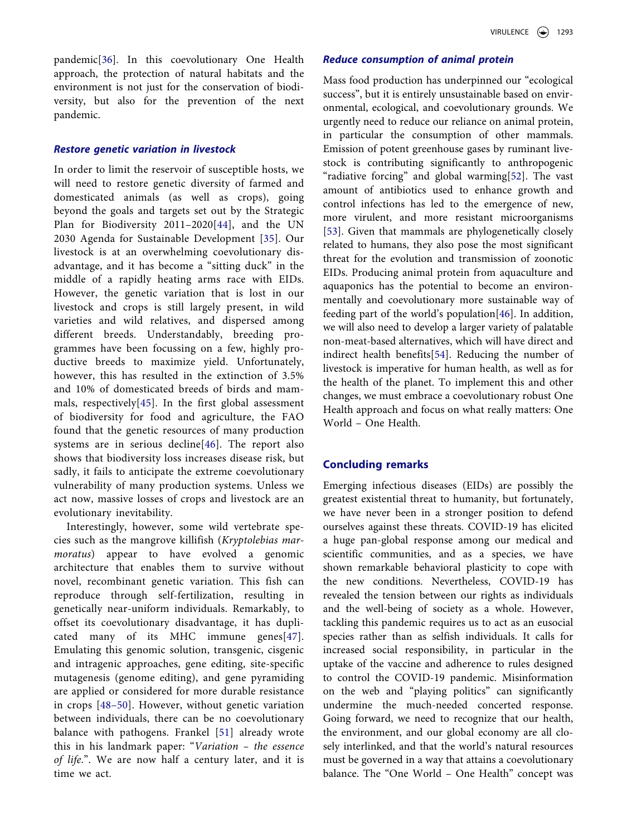pandemic[\[36](#page-8-11)]. In this coevolutionary One Health approach, the protection of natural habitats and the environment is not just for the conservation of biodiversity, but also for the prevention of the next pandemic.

#### *Restore genetic variation in livestock*

<span id="page-6-0"></span>In order to limit the reservoir of susceptible hosts, we will need to restore genetic diversity of farmed and domesticated animals (as well as crops), going beyond the goals and targets set out by the Strategic Plan for Biodiversity 2011–2020[[44\]](#page-8-18), and the UN 2030 Agenda for Sustainable Development [[35\]](#page-8-10). Our livestock is at an overwhelming coevolutionary disadvantage, and it has become a "sitting duck" in the middle of a rapidly heating arms race with EIDs. However, the genetic variation that is lost in our livestock and crops is still largely present, in wild varieties and wild relatives, and dispersed among different breeds. Understandably, breeding programmes have been focussing on a few, highly productive breeds to maximize yield. Unfortunately, however, this has resulted in the extinction of 3.5% and 10% of domesticated breeds of birds and mammals, respectively[[45](#page-8-19)]. In the first global assessment of biodiversity for food and agriculture, the FAO found that the genetic resources of many production systems are in serious decline[[46](#page-8-20)]. The report also shows that biodiversity loss increases disease risk, but sadly, it fails to anticipate the extreme coevolutionary vulnerability of many production systems. Unless we act now, massive losses of crops and livestock are an evolutionary inevitability.

<span id="page-6-5"></span><span id="page-6-4"></span><span id="page-6-3"></span><span id="page-6-1"></span>Interestingly, however, some wild vertebrate species such as the mangrove killifish (*Kryptolebias marmoratus*) appear to have evolved a genomic architecture that enables them to survive without novel, recombinant genetic variation. This fish can reproduce through self-fertilization, resulting in genetically near-uniform individuals. Remarkably, to offset its coevolutionary disadvantage, it has duplicated many of its MHC immune genes[[47\]](#page-8-21). Emulating this genomic solution, transgenic, cisgenic and intragenic approaches, gene editing, site-specific mutagenesis (genome editing), and gene pyramiding are applied or considered for more durable resistance in crops [[48–50](#page-8-22)]. However, without genetic variation between individuals, there can be no coevolutionary balance with pathogens. Frankel [\[51\]](#page-8-23) already wrote this in his landmark paper: "*Variation – the essence of life*.". We are now half a century later, and it is time we act.

# *Reduce consumption of animal protein*

<span id="page-6-7"></span><span id="page-6-6"></span>Mass food production has underpinned our "ecological success", but it is entirely unsustainable based on environmental, ecological, and coevolutionary grounds. We urgently need to reduce our reliance on animal protein, in particular the consumption of other mammals. Emission of potent greenhouse gases by ruminant livestock is contributing significantly to anthropogenic "radiative forcing" and global warming[[52](#page-8-24)]. The vast amount of antibiotics used to enhance growth and control infections has led to the emergence of new, more virulent, and more resistant microorganisms [[53\]](#page-8-25). Given that mammals are phylogenetically closely related to humans, they also pose the most significant threat for the evolution and transmission of zoonotic EIDs. Producing animal protein from aquaculture and aquaponics has the potential to become an environmentally and coevolutionary more sustainable way of feeding part of the world's population[\[46](#page-8-20)]. In addition, we will also need to develop a larger variety of palatable non-meat-based alternatives, which will have direct and indirect health benefits[[54\]](#page-8-26). Reducing the number of livestock is imperative for human health, as well as for the health of the planet. To implement this and other changes, we must embrace a coevolutionary robust One Health approach and focus on what really matters: One World – One Health.

# <span id="page-6-8"></span><span id="page-6-2"></span>**Concluding remarks**

Emerging infectious diseases (EIDs) are possibly the greatest existential threat to humanity, but fortunately, we have never been in a stronger position to defend ourselves against these threats. COVID-19 has elicited a huge pan-global response among our medical and scientific communities, and as a species, we have shown remarkable behavioral plasticity to cope with the new conditions. Nevertheless, COVID-19 has revealed the tension between our rights as individuals and the well-being of society as a whole. However, tackling this pandemic requires us to act as an eusocial species rather than as selfish individuals. It calls for increased social responsibility, in particular in the uptake of the vaccine and adherence to rules designed to control the COVID-19 pandemic. Misinformation on the web and "playing politics" can significantly undermine the much-needed concerted response. Going forward, we need to recognize that our health, the environment, and our global economy are all closely interlinked, and that the world's natural resources must be governed in a way that attains a coevolutionary balance. The "One World – One Health" concept was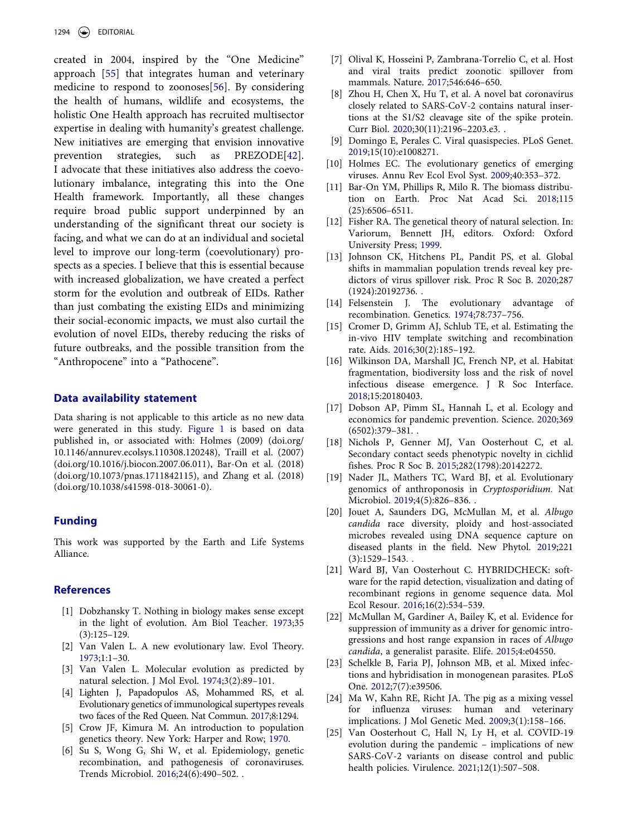<span id="page-7-26"></span><span id="page-7-25"></span>created in 2004, inspired by the "One Medicine" approach [[55\]](#page-8-27) that integrates human and veterinary medicine to respond to zoonoses[[56](#page-8-28)]. By considering the health of humans, wildlife and ecosystems, the holistic One Health approach has recruited multisector expertise in dealing with humanity's greatest challenge. New initiatives are emerging that envision innovative prevention strategies, such as PREZODE[[42\]](#page-8-16). I advocate that these initiatives also address the coevolutionary imbalance, integrating this into the One Health framework. Importantly, all these changes require broad public support underpinned by an understanding of the significant threat our society is facing, and what we can do at an individual and societal level to improve our long-term (coevolutionary) prospects as a species. I believe that this is essential because with increased globalization, we have created a perfect storm for the evolution and outbreak of EIDs. Rather than just combating the existing EIDs and minimizing their social-economic impacts, we must also curtail the evolution of novel EIDs, thereby reducing the risks of future outbreaks, and the possible transition from the "Anthropocene" into a "Pathocene".

#### **Data availability statement**

Data sharing is not applicable to this article as no new data were generated in this study. [Figure 1](#page-2-0) is based on data published in, or associated with: Holmes (2009) (doi.org/ 10.1146/annurev.ecolsys.110308.120248), Traill et al. (2007) (doi.org/10.1016/j.biocon.2007.06.011), Bar-On et al. (2018) (doi.org/10.1073/pnas.1711842115), and Zhang et al. (2018) (doi.org/10.1038/s41598-018-30061-0).

# **Funding**

This work was supported by the Earth and Life Systems Alliance.

#### **References**

- <span id="page-7-0"></span>[1] Dobzhansky T. Nothing in biology makes sense except in the light of evolution. Am Biol Teacher. [1973;](#page-1-0)35 (3):125–129.
- <span id="page-7-1"></span>[2] Van Valen L. A new evolutionary law. Evol Theory. [1973](#page-1-1);1:1–30.
- <span id="page-7-23"></span>[3] Van Valen L. Molecular evolution as predicted by natural selection. J Mol Evol. [1974](#page-3-0);3(2):89–101.
- <span id="page-7-24"></span>[4] Lighten J, Papadopulos AS, Mohammed RS, et al. Evolutionary genetics of immunological supertypes reveals two faces of the Red Queen. Nat Commun. [2017](#page-4-0);8:1294.
- <span id="page-7-2"></span>[5] Crow JF, Kimura M. An introduction to population genetics theory. New York: Harper and Row; [1970.](#page-1-2)
- <span id="page-7-3"></span>[6] Su S, Wong G, Shi W, et al. Epidemiology, genetic recombination, and pathogenesis of coronaviruses. Trends Microbiol. [2016;](#page-1-3)24(6):490–502. .
- <span id="page-7-13"></span>[7] Olival K, Hosseini P, Zambrana-Torrelio C, et al. Host and viral traits predict zoonotic spillover from mammals. Nature. [2017](#page-2-1);546:646–650.
- <span id="page-7-11"></span>[8] Zhou H, Chen X, Hu T, et al. A novel bat coronavirus closely related to SARS-CoV-2 contains natural insertions at the S1/S2 cleavage site of the spike protein. Curr Biol. [2020](#page-2-2);30(11):2196–2203.e3. .
- <span id="page-7-4"></span>[9] Domingo E, Perales C. Viral quasispecies. PLoS Genet. [2019](#page-1-4);15(10):e1008271.
- <span id="page-7-5"></span>[10] Holmes EC. The evolutionary genetics of emerging viruses. Annu Rev Ecol Evol Syst. [2009](#page-1-5);40:353–372.
- <span id="page-7-6"></span>[11] Bar-On YM, Phillips R, Milo R. The biomass distribution on Earth. Proc Nat Acad Sci. [2018](#page-1-6);115 (25):6506–6511.
- <span id="page-7-7"></span>[12] Fisher RA. The genetical theory of natural selection. In: Variorum, Bennett JH, editors. Oxford: Oxford University Press; [1999.](#page-1-7)
- <span id="page-7-8"></span>[13] Johnson CK, Hitchens PL, Pandit PS, et al. Global shifts in mammalian population trends reveal key predictors of virus spillover risk. Proc R Soc B. [2020](#page-1-8);287 (1924):20192736. .
- <span id="page-7-9"></span>[14] Felsenstein J. The evolutionary advantage of recombination. Genetics. [1974](#page-2-3);78:737–756.
- <span id="page-7-10"></span>[15] Cromer D, Grimm AJ, Schlub TE, et al. Estimating the in-vivo HIV template switching and recombination rate. Aids. [2016](#page-2-4);30(2):185–192.
- <span id="page-7-12"></span>[16] Wilkinson DA, Marshall JC, French NP, et al. Habitat fragmentation, biodiversity loss and the risk of novel infectious disease emergence. J R Soc Interface. [2018](#page-2-5);15:20180403.
- <span id="page-7-14"></span>[17] Dobson AP, Pimm SL, Hannah L, et al. Ecology and economics for pandemic prevention. Science. [2020](#page-3-1);369  $(6502):379-381.$ .
- <span id="page-7-15"></span>[18] Nichols P, Genner MJ, Van Oosterhout C, et al. Secondary contact seeds phenotypic novelty in cichlid fishes. Proc R Soc B. [2015](#page-3-2);282(1798):20142272.
- <span id="page-7-16"></span>[19] Nader JL, Mathers TC, Ward BJ, et al. Evolutionary genomics of anthroponosis in *Cryptosporidium*. Nat Microbiol. [2019;](#page-3-3)4(5):826–836. .
- <span id="page-7-17"></span>[20] Jouet A, Saunders DG, McMullan M, et al. *Albugo candida* race diversity, ploidy and host-associated microbes revealed using DNA sequence capture on diseased plants in the field. New Phytol. [2019](#page-3-4);221 (3):1529–1543. .
- <span id="page-7-18"></span>[21] Ward BJ, Van Oosterhout C. HYBRIDCHECK: software for the rapid detection, visualization and dating of recombinant regions in genome sequence data. Mol Ecol Resour. [2016](#page-3-5);16(2):534–539.
- <span id="page-7-19"></span>[22] McMullan M, Gardiner A, Bailey K, et al. Evidence for suppression of immunity as a driver for genomic introgressions and host range expansion in races of *Albugo candida*, a generalist parasite. Elife. [2015;](#page-3-6)4:e04550.
- <span id="page-7-20"></span>[23] Schelkle B, Faria PJ, Johnson MB, et al. Mixed infections and hybridisation in monogenean parasites. PLoS One. [2012;](#page-3-6)7(7):e39506.
- <span id="page-7-21"></span>[24] Ma W, Kahn RE, Richt JA. The pig as a mixing vessel for influenza viruses: human and veterinary implications. J Mol Genetic Med. [2009;](#page-3-7)3(1):158–166.
- <span id="page-7-22"></span>[25] Van Oosterhout C, Hall N, Ly H, et al. COVID-19 evolution during the pandemic – implications of new SARS-CoV-2 variants on disease control and public health policies. Virulence. [2021;](#page-3-8)12(1):507–508.